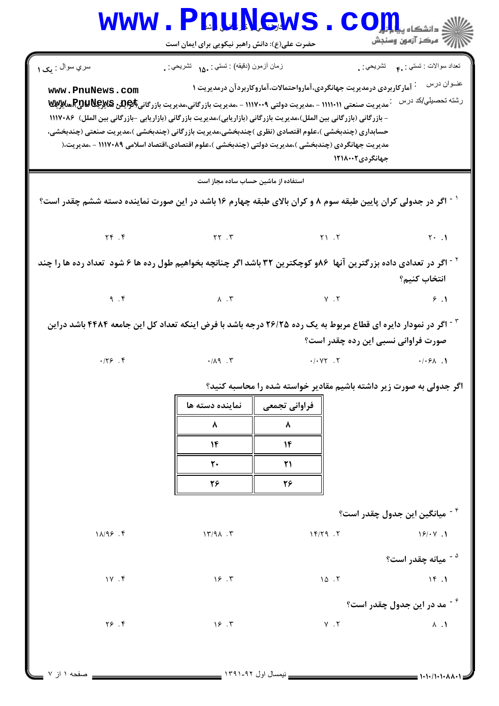**www.PnuNews.com** حضرت علی(ع): دانش راهبر نیکویی برای ایمان است نعداد سوالات : تستي : .م تشريحي : . سري سوال : <sub>ف</sub>ک ۱ زمان أزمون (دقيقه) : تستى : ١٨. نشريحي : . عنــوان درس په مخ آمار کاربردی درمدیریت جهانگردی،آمارواحتمالات،آماروکاربردآن درمدیریت ۱ www.PnuNews.com رشته تحصیلی/کد درس <sup>:</sup> مدیریت صنعتی ۱۱۱۱۰۱۱ - ،مدیریت دولتی ۱۱۱۷۰۰۹ - ،مدیریت بازرگانی،مدیریت بازرگانی**(پیچالیه پیچاللهچی پیچالله** - بازرگانی (بازرگانی بین الملل)،مدیریت بازرگانی (بازاریابی)،مدیریت بازرگانی (بازاریابی -بازرگانی بین الملل) ۱۱۱۷۰۸۶ حسابداري (چندېخشي )،علوم اقتصادي (نظري )چندېخشي،مديريت بازرگاني (چندېخشي )،مديريت صنعتي (چندېخشي، مدیریت جهانگردی (چندبخشی )،مدیریت دولتی (چندبخشی )،علوم اقتصادی،اقتصاد اسلامی ۱۱۱۷۰۸۹ - ،مدیریت،( جهانگر دی ۱۲۱۸۰۰۲ استفاده از ماشین حساب ساده مجاز است <sup>۱ -</sup> اگر در جدولی کران پایین طبقه سوم ۸ و کران بالای طبقه چهارم ۱۶ باشد در این صورت نماینده دسته ششم چقدر است؟  $Yf$ .  $f$  $YY.7$  $Y1.7$  $Y \cdot \cdot \cdot$ <sup>۲ -</sup> اگر در تعدادی داده بزرگترین آنها ۸۶و کوچکترین ۳۲ باشد اگر چنانچه بخواهیم طول رده ها ۶ شود تعداد رده ها را چند انتخاب كنىم؟  $9.7$  $\Lambda$  .  $\Upsilon$  $Y \cdot Y$  $9.1$ <sup>۳ -</sup> اگر در نمودار دایره ای قطاع مربوط به یک رده ۲۶/۲۵ درجه باشد با فرض اینکه تعداد کل این جامعه ۴۴۸۴ باشد دراین صورت فراوانی نسبی این رده چقدر است؟  $.179.9$  $-.119$ .  $.1.1$  $.1.51$ اگر جدولی به صورت زیر داشته باشیم مقادیر خواسته شده را محاسبه کنید؟ نماينده دسته ها فراواني تجمعي ۸ ٨  $\mathcal{N}$  $\mathcal{N}$  $\mathbf{r}$ .  $\mathsf{r}$ 28 38 <sup>۴ -</sup> میانگین این جدول چقدر است؟  $11/95.9$  $17/9$  $\Lambda$ .  $\Upsilon$  $17/79.7$  $19/14$ <sup>۵ -</sup> میانه چقدر است؟  $1Y. f$  $15.7$  $10.7$  $15.1$ <sup>۶ -</sup> مد در این جدول چقدر است؟  $Y5.9$  $15.7$  $Y \cdot Y$  $\Lambda$  .  $\Lambda$ صفحه ١ از ٧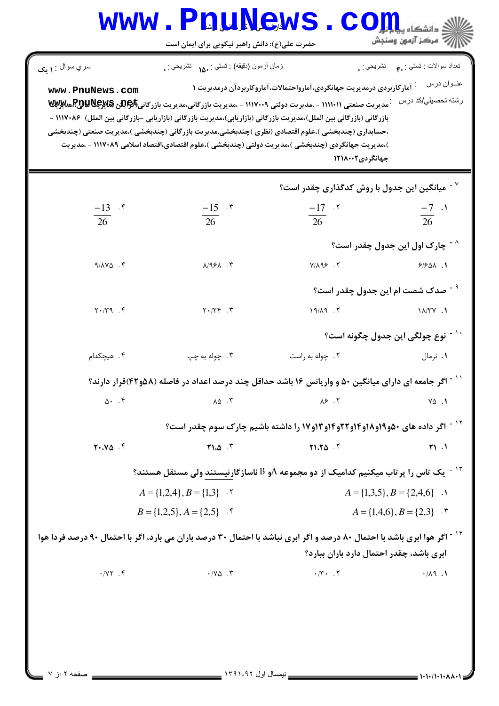|                                                                                                                                      |                                               |                                                                                                                                                                                                                              | دانشگاه پ <del>یا</del>                      |
|--------------------------------------------------------------------------------------------------------------------------------------|-----------------------------------------------|------------------------------------------------------------------------------------------------------------------------------------------------------------------------------------------------------------------------------|----------------------------------------------|
|                                                                                                                                      | حضرت علی(ع): دانش راهبر نیکویی برای ایمان است |                                                                                                                                                                                                                              | ۽ '' مرڪز آزمون وسنڊش                        |
| سري سوال : ۱ يک                                                                                                                      | زمان أزمون (دقيقه) : نستي : .1۵۰ نشريحي : .   | تشريحي : ¸                                                                                                                                                                                                                   | تعداد سوالات : تستبي : ۴.                    |
| www.PnuNews.com                                                                                                                      |                                               | <sup>:</sup> آمارکاربردی درمدیریت جهانگردی،آمارواحتمالات،آماروکاربردآن درمدیریت ۱                                                                                                                                            | عنوان درس                                    |
|                                                                                                                                      |                                               | مدیریت صنعتی ۱۱۱۱۰۱۱ - ،مدیریت دولتی ۱۱۱۷۰۰۹ - ،مدیریت بازرگانی،مدیریت بازرگانی\$PER و REW وRER هلایی<br>بازرگانی (بازرگانی بین الملل)،مدیریت بازرگانی (بازاریابی)،مدیریت بازرگانی (بازاریابی -بازرگانی بین الملل) ۱۱۱۷۰۸۶ - | رشته تحصيلي/كد درس                           |
|                                                                                                                                      |                                               | ،حسابداري (چندبخشي )،علوم اقتصادي (نظري )چندبخشي،مديريت بازرگاني (چندبخشي )،مديريت صنعتي (چندبخشي                                                                                                                            |                                              |
|                                                                                                                                      |                                               | )،مدیریت جهانگردی (چندبخشی )،مدیریت دولتی (چندبخشی )،علوم اقتصادی،اقتصاد اسلامی ۱۱۱۷۰۸۹ - ،مدیریت<br>جهانگردی۲۱۸۰۰۲                                                                                                          |                                              |
|                                                                                                                                      |                                               |                                                                                                                                                                                                                              |                                              |
|                                                                                                                                      |                                               | $^{\circ}$ ۰ میانگین این جدول با روش کدگذاری چقدر است $^{\circ}$                                                                                                                                                             |                                              |
| $\frac{-13}{26}$ .*                                                                                                                  | $\frac{-15}{26}$ . $\degree$                  | $\frac{-17}{26}$ .                                                                                                                                                                                                           | $\frac{-7}{26}$ .                            |
|                                                                                                                                      |                                               |                                                                                                                                                                                                                              |                                              |
|                                                                                                                                      |                                               |                                                                                                                                                                                                                              | ^ <sup>-</sup> چارک اول این جدول چقدر است؟   |
| $9/14V\Delta$ .                                                                                                                      | $A/95A$ . $\tilde{r}$                         | $Y/\Lambda$ 98. $Y$                                                                                                                                                                                                          | 91901.1                                      |
|                                                                                                                                      |                                               |                                                                                                                                                                                                                              | <sup>۳ -</sup> صدک شصت ام این جدول چقدر است؟ |
| $Y \cdot / Y$ 9. F                                                                                                                   | $Y \cdot / YY$ .                              | $19/\lambda9$ .                                                                                                                                                                                                              | $1\lambda/\Upsilon V$ .                      |
|                                                                                                                                      |                                               |                                                                                                                                                                                                                              | نوع چولگی این جدول چگونه است؟                |
| ۰۴ هیچکدام                                                                                                                           | ۰۳ چوله به چپ                                 | ۰۲ چوله به راست                                                                                                                                                                                                              | ۰۱ نرمال                                     |
|                                                                                                                                      |                                               | <sup>۱۱ -</sup> اگر جامعه ای دارای میانگین ۵۰ و واریانس ۱۶ باشد حداقل چند درصد اعداد در فاصله (۵۸و۴۲)قرار دارند؟                                                                                                             |                                              |
| 0.4                                                                                                                                  | $\Lambda \Delta$ . ٣                          | $\lambda$ ۶.۲                                                                                                                                                                                                                | $Y\Delta$ .                                  |
|                                                                                                                                      |                                               | <b>17 - اگر داده های ۵۰و۱۹و۱۸و۱۴و۲۲و۱۴ور۹۲و از</b> ۱۷واشته باشیم چارک سوم چقدر است؟                                                                                                                                          |                                              |
| $Y \cdot Y \Delta$ .                                                                                                                 | Y1.0.7                                        | Y1.70.7                                                                                                                                                                                                                      | Y1.1                                         |
|                                                                                                                                      |                                               | $^\circ$ ا - یک تاس را پر تاب میکنیم کدامیک از دو مجموعه $\mathrm{A}$ و $\mathrm{B}$ ناسازگارنیستند ولی مستقل هستند $^\circ$                                                                                                 |                                              |
|                                                                                                                                      | $A = \{1,2,4\}, B = \{1,3\}$ .                |                                                                                                                                                                                                                              | $A = \{1,3,5\}, B = \{2,4,6\}$ .             |
|                                                                                                                                      | $B = \{1,2,5\}, A = \{2,5\}$ .                |                                                                                                                                                                                                                              | $A = \{1,4,6\}, B = \{2,3\}$ .               |
| <sup>۱۴ -</sup> اگر هوا ابری باشد با احتمال ۸۰ درصد و اگر ابری نباشد با احتمال ۳۰ درصد باران می بارد، اگر با احتمال ۹۰ درصد فردا هوا |                                               |                                                                                                                                                                                                                              |                                              |
|                                                                                                                                      |                                               | ابری باشد، چقدر احتمال دارد باران ببارد؟                                                                                                                                                                                     |                                              |
| $\cdot$ / $\gamma \gamma$ . ۴                                                                                                        | $\cdot$ / $\vee$ $\circ$ . $\vee$             | $\cdot$ /۳ $\cdot$ . $\cdot$ $\cdot$                                                                                                                                                                                         | .1.74                                        |
|                                                                                                                                      |                                               |                                                                                                                                                                                                                              |                                              |
|                                                                                                                                      |                                               |                                                                                                                                                                                                                              |                                              |
|                                                                                                                                      |                                               |                                                                                                                                                                                                                              |                                              |
|                                                                                                                                      |                                               |                                                                                                                                                                                                                              |                                              |
|                                                                                                                                      |                                               |                                                                                                                                                                                                                              |                                              |

k.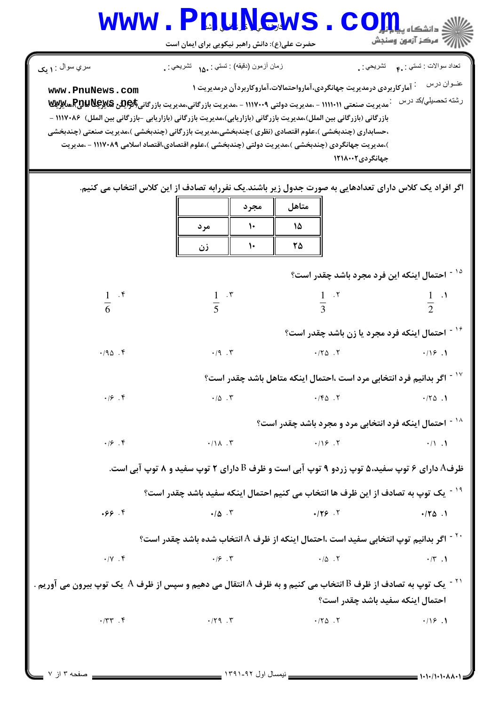|                                   | حضرت علی(ع): دانش راهبر نیکویی برای ایمان است                                                                                                                                                                                                                                                                                                                                                                                                    |                                                                                                      | 7' مرڪز آزمون وسنڊش                                                               |
|-----------------------------------|--------------------------------------------------------------------------------------------------------------------------------------------------------------------------------------------------------------------------------------------------------------------------------------------------------------------------------------------------------------------------------------------------------------------------------------------------|------------------------------------------------------------------------------------------------------|-----------------------------------------------------------------------------------|
| سري سوال : ۱ مک                   | زمان أزمون (دفيقه) : تستى : ۱۵۰ نشىريحى : .                                                                                                                                                                                                                                                                                                                                                                                                      |                                                                                                      | تعداد سوالات : تستي : <sub>م</sub> م       تشريحي : <sub>.</sub>                  |
| www.PnuNews.com                   | <sup>-</sup> مدیریت صنعتی (۱۱۱۱۰۱ - ،مدیریت دولتی ۱۱۱۷۰۰۹ - ،مدیریت بازرگانی،مدیریت بازرگانی\$RUNE& & R&R هلایی<br>بازرگانی (بازرگانی بین الملل)،مدیریت بازرگانی (بازاریابی)،مدیریت بازرگانی (بازاریابی -بازرگانی بین الملل) ۱۱۱۷۰۸۶ -<br>،حسابداری (چندبخشی )،علوم اقتصادی (نظری )چندبخشی،مدیریت بازرگانی (چندبخشی )،مدیریت صنعتی (چندبخشی<br>)،مدیریت جهانگردی (چندبخشی )،مدیریت دولتی (چندبخشی )،علوم اقتصادی،اقتصاد اسلامی ۱۱۱۷۰۸۹ - ،مدیریت | <sup>:</sup> آمار کاربردی درمدیریت جهانگردی،آمارواحتمالات،آماروکاربردآن درمدیریت ۱<br>جهانگردی۲۱۸۰۰۲ | عنــوان درس<br>رشته تحصبل <i>ي </i> كد درس                                        |
|                                   | اگر افراد یک کلاس دارای تعدادهایی به صورت جدول زیر باشند.یک نفررابه تصادف از این کلاس انتخاب می کنیم.<br>مجرد<br>۱۰<br>مر د<br>$\mathsf{L}$<br>زن                                                                                                                                                                                                                                                                                                | متاهل<br>۱۵<br>۲۵                                                                                    |                                                                                   |
|                                   |                                                                                                                                                                                                                                                                                                                                                                                                                                                  |                                                                                                      | <sup>۱۵ -</sup> احتمال اینکه این فرد مجرد باشد چقدر است؟                          |
| $rac{1}{6}$ $\cdot$ $\frac{5}{6}$ | $rac{1}{5}$ $\cdot$ $\cdot$                                                                                                                                                                                                                                                                                                                                                                                                                      | $\frac{1}{3}$ . $\frac{5}{3}$                                                                        | $\frac{1}{2}$ .                                                                   |
|                                   |                                                                                                                                                                                                                                                                                                                                                                                                                                                  |                                                                                                      | <sup>۱۶ -</sup> احتمال اینکه فرد مجرد یا زن باشد چقدر است؟                        |
| .40.7                             | $\cdot$ /9 $\cdot$ $\mathsf{r}$                                                                                                                                                                                                                                                                                                                                                                                                                  | $\cdot$ / $\uparrow \triangle$ . $\uparrow$                                                          | .19.1                                                                             |
|                                   |                                                                                                                                                                                                                                                                                                                                                                                                                                                  |                                                                                                      | <sup>۱۷ -</sup> اگر بدانیم فرد انتخابی مرد است ،احتمال اینکه متاهل باشد چقدر است؟ |
| $\cdot$   $\circ$ . $\circ$       | $\cdot/\Delta$ . $\Upsilon$                                                                                                                                                                                                                                                                                                                                                                                                                      | $\cdot$ / $\uparrow$ $\uparrow$ $\uparrow$                                                           | .70.1                                                                             |
|                                   |                                                                                                                                                                                                                                                                                                                                                                                                                                                  |                                                                                                      | <sup>۱۸ -</sup> احتمال اینکه فرد انتخابی مرد و مجرد باشد چقدر است؟                |
| .19.9                             | $\cdot/\lambda$ . ۳                                                                                                                                                                                                                                                                                                                                                                                                                              | .719.7                                                                                               | $\cdot / \cdot$ .                                                                 |
|                                   | ظرفA دارای ۶ توپ سفید،۵ توپ زردو ۹ توپ آبی است و ظرف B دارای ۲ توپ سفید و ۸ توپ آبی است.                                                                                                                                                                                                                                                                                                                                                         |                                                                                                      |                                                                                   |
|                                   | <sup>۱۹ -</sup> یک توپ به تصادف از این ظرف ها انتخاب می کنیم احتمال اینکه سفید باشد چقدر است؟                                                                                                                                                                                                                                                                                                                                                    |                                                                                                      |                                                                                   |
| .99.9                             | $\cdot/\Delta$ . $\tau$                                                                                                                                                                                                                                                                                                                                                                                                                          | .179.7                                                                                               | $\cdot$ /۲۵.1                                                                     |
|                                   | `` - اگر بدانیم توپ انتخابی سفید است ،احتمال اینکه از ظرف A انتخاب شده باشد چقدر است؟                                                                                                                                                                                                                                                                                                                                                            |                                                                                                      |                                                                                   |
|                                   |                                                                                                                                                                                                                                                                                                                                                                                                                                                  |                                                                                                      |                                                                                   |

احتمال اينكه سفيد باشد چقدر است؟

 $\cdot$  /  $\uparrow$   $\uparrow$   $\uparrow$   $\uparrow$  $\cdot$ /۳۳.۴.  $\cdot$  $.119.1$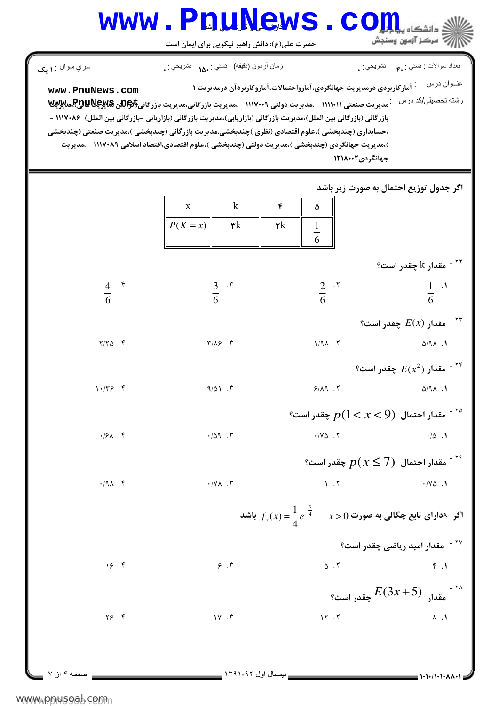## WWW.PnuNews.com سري سوال **۱**: **بک** نعداد سوالات : تستي : .م تشريحي : .<br>. زمان أزمون (دقيقه) : تستي : <sub>1</sub>۵۰ تشريحي : .

www.PnuNews.com رشته تحصیلی/کد درس میریت صنعتی ۱۱۱۱۰۱۱ - ،مدیریت دولتی ۱۱۱۷۰۰۹ - ،مدیریت بازرگانی،مدیریت بازرگانی\$QUU و Rگیلایی بازرگانی (بازرگانی بین الملل)،مدیریت بازرگانی (بازاریابی)،مدیریت بازرگانی (بازاریابی -بازرگانی بین الملل) ۱۱۱۷۰۸۶ -،حسابداری (چندبخشی )،علوم اقتصادی (نظری )چندبخشی،مدیریت بازرگانی (چندبخشی )،مدیریت صنعتی (چندبخشی )،مدیریت جهانگردی (چندبخشی )،مدیریت دولتی (چندبخشی )،علوم اقتصادی،اقتصاد اسلامی ۱۱۱۷۰۸۹ - ،مدیریت جهانگردی ۱۲۱۸۰۰۲

اگر جدول توزیع احتمال به صورت زیر باشد

|               |                          | $\mathbf X$ | $\mathbf k$                                                                | ۴                  | ۵                                    |                                                                                                                      |
|---------------|--------------------------|-------------|----------------------------------------------------------------------------|--------------------|--------------------------------------|----------------------------------------------------------------------------------------------------------------------|
|               |                          | $P(X = x)$  | $\mathbf{\mathtt{y}}$ k                                                    | $\pmb{\mathsf{y}}$ | $\frac{1}{6}$                        |                                                                                                                      |
|               |                          |             |                                                                            |                    |                                      |                                                                                                                      |
|               |                          |             |                                                                            |                    |                                      | قدار k چقدر است؟ $^{\circ}$                                                                                          |
|               | $rac{4}{6}$ . f          |             | $rac{3}{6}$ . r                                                            |                    | $rac{2}{6}$ . T                      | $rac{1}{6}$ $\cdot$ <sup>1</sup>                                                                                     |
|               |                          |             |                                                                            |                    |                                      |                                                                                                                      |
|               |                          |             |                                                                            |                    |                                      | °۰ مقدار $E(x)$ چقدر است.                                                                                            |
|               | $Y/Y\Delta$ .            |             | $\mathbf{y}/\mathbf{y}$ . $\mathbf{y}$                                     |                    | $1/9$<br>$\Lambda$ . $\Upsilon$      | $\Delta$ /91.1                                                                                                       |
|               |                          |             |                                                                            |                    |                                      | ° مقدار $E(x^2)$ چقدر است $^{\circ}$                                                                                 |
|               | 1.799.9                  |             | $9/\Delta$ . $\Upsilon$                                                    |                    | 9/19.7                               | $\Delta$ /91.1                                                                                                       |
|               |                          |             |                                                                            |                    |                                      | ° مقدار احتمال $p(1 < x < 9)$ چقدر است $p$                                                                           |
|               | $\cdot$ /۶ $\Lambda$ . ۴ |             | $\cdot/\Delta$ 9.                                                          |                    | $\cdot$ / Y $\triangle$ . $\Upsilon$ | $\cdot/\Delta$ .                                                                                                     |
|               |                          |             |                                                                            |                    |                                      | گا - مقدار احتمال $p(x \leq 7)$ چقدر است $^{\circ}$                                                                  |
|               | $\cdot$ /91.             |             | $\boldsymbol{\cdot} / \boldsymbol{\mathsf{Y}}$ . $\boldsymbol{\mathsf{Y}}$ |                    |                                      | $V \cdot V$<br>$\cdot$ / Y $\triangle$ . 1                                                                           |
|               |                          |             |                                                                            |                    |                                      | اگر $f_x(x) = \frac{1}{4}e^{\frac{-x}{4}}$ اگر $f_x(x) = \frac{1}{4}e^{-\frac{x}{4}}$ اگر کادارای تابع چگالی به صورت |
|               |                          |             |                                                                            |                    |                                      | <sup>۲۷ -</sup> مقدار امید ریاضی چقدر است؟                                                                           |
|               | 15.9                     |             | $\gamma$ . $\tau$                                                          |                    |                                      | $\Delta$ $\Lambda$<br>$\uparrow$ . $\uparrow$                                                                        |
|               |                          |             |                                                                            |                    |                                      | جقدر است؟ $E(3x+5)$ چقدر است؟ $^{114}$                                                                               |
|               | Y5.                      |             | $1Y \cdot Y$                                                               |                    | 15.7                                 | $\Lambda$ . $\Lambda$                                                                                                |
|               |                          |             |                                                                            |                    |                                      |                                                                                                                      |
|               |                          |             |                                                                            |                    |                                      |                                                                                                                      |
| . صفحه ۴ از ۷ |                          |             |                                                                            |                    |                                      | ミ ハ・ハ・ハ・ハハ・・                                                                                                         |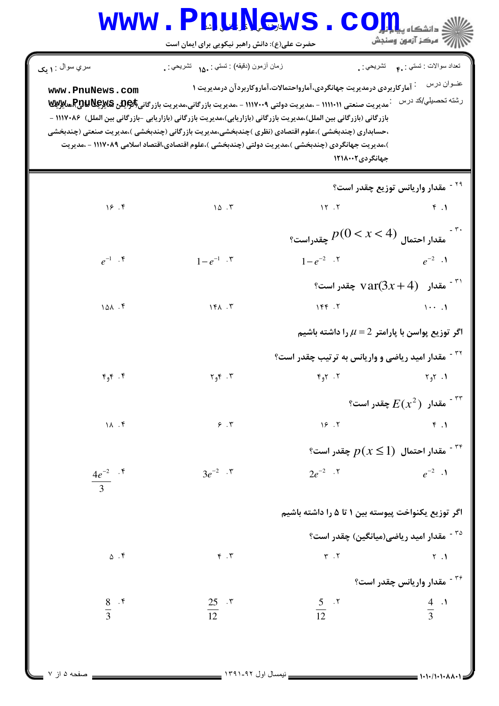## WWW.PnuNews.com است کے ساتھ ہے۔<br>استعمال کا آزمون وسنجش حضرت علی(ع): دانش راهبر نیکویی برای ایمان است نعداد سوالات : تستبي : .م تشريحي : .<br>. سري سوال : **۱ بک** زمان أزمون (دقيقه) : تستى : ١٨. تشريحي : . عنــوان درس په مخ آمار کاربردی درمدیریت جهانگردی،آمارواحتمالات،آماروکاربردآن درمدیریت ۱ www.PnuNews.com رشته تحصیلي/کد درس مسلور است مسلمتی ۱۱۱۱۰۱۱ - ،مدیریت دولتی ۱۱۱۷۰۰۹ - ،مدیریت بازرگانی،مدیریت بازرگانی\$\$Rىللور&&&Rيس

بازرگانی (بازرگانی بین الملل)،مدیریت بازرگانی (بازاریابی)،مدیریت بازرگانی (بازاریابی -بازرگانی بین الملل) ۸۶۰/۱۱۱۷ -،حسابداری (چندبخشی )،علوم اقتصادی (نظری )چندبخشی،مدیریت بازرگانی (چندبخشی )،مدیریت صنعتی (چندبخشی )،مدیریت جهانگردی (چندبخشی )،مدیریت دولتی (چندبخشی )،علوم اقتصادی،اقتصاد اسلامی ۱۱۱۷۰۸۹ - ،مدیریت جهانگردی ۱۲۱۸۰۰۲

|              |                | <sup>۲۹ -</sup> مقدار واریانس توزیع چقدر است؟                                                                         |                                                            |  |  |
|--------------|----------------|-----------------------------------------------------------------------------------------------------------------------|------------------------------------------------------------|--|--|
| 19.9         | 10.7           | 15.7                                                                                                                  | f.1                                                        |  |  |
|              |                | $\mathop{\mathrm{sga}}\nolimits_{\mathcal{C}}(0 < x < 4)$ مقدار احتمال $p(0 < x < 4)$ چقدراست $\mathop{\mathrm{sga}}$ |                                                            |  |  |
| $e^{-1}$ . ۴ | $1-e^{-1}$ . ۳ | $1-e^{-2}$ .                                                                                                          | $e^{-2}$ .                                                 |  |  |
|              |                |                                                                                                                       | $\arctan(3x+4)$ مقدار $\ar(3x+4)$ چقدر است $\arctan(3x+4)$ |  |  |
| 101.5        | 151.7          | 156.7                                                                                                                 | $\cdots$                                                   |  |  |

اگر توزیع پواسن با پارامتر 
$$
L = 2
$$
 را داشته باشیم  
۲<sup>۲</sup> - مقدار امید ریاضی و واریانس به ترتیب چقدر است?<sup>و</sup>  
۱۰ ۲۰ ۲

$$
F_{2}F
$$
  $\cdot$   $F_{3}F$   $\cdot$   $\cdot$   $F_{4}F$   $\cdot$   $\cdot$   $\cdot$   $F_{5}F$   $\cdot$   $\cdot$   $\cdot$   $\cdot$   $\cdot$   $\cdot$   $\cdot$   $\cdot$   $\cdot$   $\cdot$   $\cdot$   $\cdot$   $\cdot$   $\cdot$   $\cdot$   $\cdot$   $\cdot$   $\cdot$   $\cdot$   $\cdot$   $\cdot$   $\cdot$   $\cdot$   $\cdot$   $\cdot$   $\cdot$   $\cdot$   $\cdot$   $\cdot$   $\cdot$   $\cdot$   $\cdot$   $\cdot$   $\cdot$   $\cdot$   $\cdot$   $\cdot$   $\cdot$   $\cdot$   $\cdot$   $\cdot$   $\cdot$   $\cdot$   $\cdot$   $\cdot$   $\cdot$   $\cdot$   $\cdot$   $\cdot$   $\cdot$   $\cdot$   $\cdot$   $\cdot$   $\cdot$   $\cdot$   $\cdot$   $\cdot$   $\cdot$   $\cdot$   $\cdot$   $\cdot$   $\cdot$   $\cdot$   $\cdot$   $\cdot$   $\cdot$   $\cdot$   $\cdot$   $\cdot$   $\cdot$   $\cdot$   $\cdot$   $\cdot$   $\cdot$   $\cdot$   $\cdot$   $\cdot$   $\cdot$   $\cdot$   $\cdot$   $\cdot$   $\cdot$   $\cdot$   $\cdot$   $\cdot$   $\cdot$   $\cdot$   $\cdot$   $\cdot$   $\cdot$   $\cdot$   $\cdot$   $\cdot$   $\cdot$   $\cdot$   $\cdot$   $\cdot$   $\$ 

۱۸ ۴۰  
۴ - مقدار احتمال 
$$
p(x \le 1)
$$
 چقدر است?

$$
3e^{-2}
$$
 .7  $2e^{-2}$  .7  $e^{-2}$  .1

$$
\frac{8}{3} \quad \frac{8}{3} \quad \frac{8}{12} \quad \frac{18}{12} \quad \frac{25}{12} \quad \frac{18}{12} \quad \frac{5}{12} \quad \frac{18}{12} \quad \frac{19}{12} \quad \frac{19}{12} \quad \frac{19}{12} \quad \frac{19}{12} \quad \frac{19}{12} \quad \frac{19}{12} \quad \frac{19}{12} \quad \frac{19}{12} \quad \frac{19}{12} \quad \frac{19}{12} \quad \frac{19}{12} \quad \frac{19}{12} \quad \frac{19}{12} \quad \frac{19}{12} \quad \frac{19}{12} \quad \frac{19}{12} \quad \frac{19}{12} \quad \frac{19}{12} \quad \frac{19}{12} \quad \frac{19}{12} \quad \frac{19}{12} \quad \frac{19}{12} \quad \frac{19}{12} \quad \frac{19}{12} \quad \frac{19}{12} \quad \frac{19}{12} \quad \frac{19}{12} \quad \frac{19}{12} \quad \frac{19}{12} \quad \frac{19}{12} \quad \frac{19}{12} \quad \frac{19}{12} \quad \frac{19}{12} \quad \frac{19}{12} \quad \frac{19}{12} \quad \frac{19}{12} \quad \frac{19}{12} \quad \frac{19}{12} \quad \frac{19}{12} \quad \frac{19}{12} \quad \frac{19}{12} \quad \frac{19}{12} \quad \frac{19}{12} \quad \frac{19}{12} \quad \frac{19}{12} \quad \frac{19}{12} \quad \frac{19}{12} \quad \frac{19}{12} \quad \frac{19}{12} \quad \frac{19}{12} \quad \frac{19}{12} \quad \frac{19}{12} \quad \frac{19}{12} \quad \frac{19}{12} \quad \frac{19}{12} \quad \frac{19}{12} \quad \frac{19}{12} \quad \frac{19}{12} \quad \frac{19}{12} \quad \frac{19}{12} \quad \frac{19}{12} \quad \frac{19}{1
$$

 $Y \cdot Y$ 

 $\frac{4e^{-2}}{2}$ .  $\frac{8}{10}$ 

 $\Delta$  .  $\mathbf f$ 

 $\overline{3}$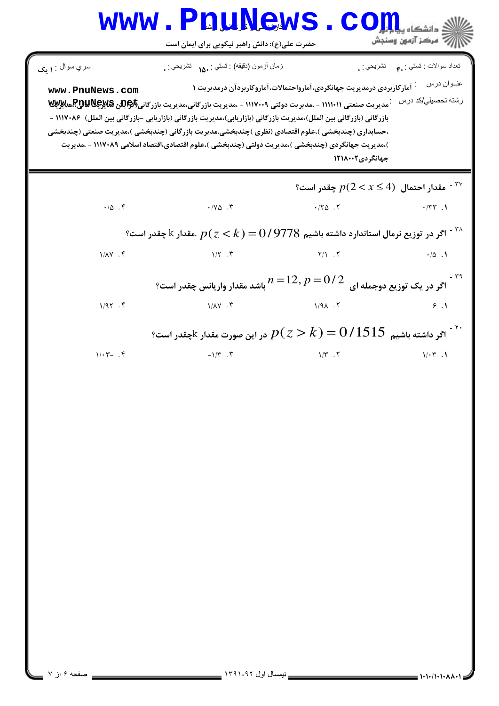| سري سوال : ١ يک   | زمان أزمون (دقيقه) : تستي : 1۵۰ نشريحي : .                                                                                                                                                                                                                                                                                                                                                                                                                                            |                                                                                                      | تعداد سوالات : تستي : ٩.٠ نشريحي : . |
|-------------------|---------------------------------------------------------------------------------------------------------------------------------------------------------------------------------------------------------------------------------------------------------------------------------------------------------------------------------------------------------------------------------------------------------------------------------------------------------------------------------------|------------------------------------------------------------------------------------------------------|--------------------------------------|
| www.PnuNews.com   | رشته تحصیلي/کد درس من <sub>ع</sub> به سیریت صنعتی ۱۱۱۱۰۱۱ - ،مدیریت دولتی ۱۱۱۷۰۰۹ - ،مدیریت بازرگانی،مدیریت بازرگانی( <b>کیلیچیدی) کیلیویسی</b><br>.<br>بازرگانی (بازرگانی بین الملل)،مدیریت بازرگانی (بازاریابی)،مدیریت بازرگانی (بازاریابی -بازرگانی بین الملل) ۱۱۱۷۰۸۶ –<br>،حسابداری (چندبخشی )،علوم اقتصادی (نظری )چندبخشی،مدیریت بازرگانی (چندبخشی )،مدیریت صنعتی (چندبخشی<br>)،مدیریت جهانگردی (چندبخشی )،مدیریت دولتی (چندبخشی )،علوم اقتصادی،اقتصاد اسلامی ۱۱۱۷۰۸۹ - ،مدیریت | <sup>:</sup> آمارکاربردی درمدیریت جهانگردی،آمارواحتمالات،آماروکاربردآن درمدیریت ۱<br>جهانگر دی۲۱۸۰۰۲ | عنوان درس                            |
|                   |                                                                                                                                                                                                                                                                                                                                                                                                                                                                                       | ° مقدار احتمال $p(2 < x \leq 4)$ چقدر است $^{\mathsf{rv}}$                                           |                                      |
| $\cdot/\Delta$ .  | $\cdot$ $/ \sqrt{\Delta}$ .                                                                                                                                                                                                                                                                                                                                                                                                                                                           | $\cdot$ /٢۵.٢                                                                                        | $\cdot$ /٣٣.١                        |
|                   | گر در توزیع نرمال استاندارد داشته باشیم $0/9778$ ) اگر در توزیع نرمال استاندارد داشته باشیم $p(z\!<\!k)$                                                                                                                                                                                                                                                                                                                                                                              |                                                                                                      |                                      |
| $1/\lambda Y$ . ۴ | $1/\Upsilon$ . $\Upsilon$                                                                                                                                                                                                                                                                                                                                                                                                                                                             | Y/1.7                                                                                                | $\cdot/\Delta$ . 1                   |
|                   | اگر در یک توزیع دوجمله ای $n=12,$ $p=0$ باشد مقدار واریانس چقدر است؟                                                                                                                                                                                                                                                                                                                                                                                                                  |                                                                                                      |                                      |
| 1/97.9            | $1/\lambda Y$ . $Y$                                                                                                                                                                                                                                                                                                                                                                                                                                                                   | $1/9$ $\lambda$ $.7$                                                                                 | 9.1                                  |
|                   | اگر داشته باشیم $0$ / $1515\,$ $p$ $(z > k)$ در این صورت مقدار $\,$ چقدر است $\,$                                                                                                                                                                                                                                                                                                                                                                                                     |                                                                                                      |                                      |
| $1/\cdot 7 - .9$  | $-1/\tau$ . $\tau$                                                                                                                                                                                                                                                                                                                                                                                                                                                                    | $1/T$ . $T$                                                                                          | $1/\cdot 7$ .                        |
|                   |                                                                                                                                                                                                                                                                                                                                                                                                                                                                                       |                                                                                                      |                                      |
|                   |                                                                                                                                                                                                                                                                                                                                                                                                                                                                                       |                                                                                                      |                                      |
|                   |                                                                                                                                                                                                                                                                                                                                                                                                                                                                                       |                                                                                                      |                                      |
|                   |                                                                                                                                                                                                                                                                                                                                                                                                                                                                                       |                                                                                                      |                                      |